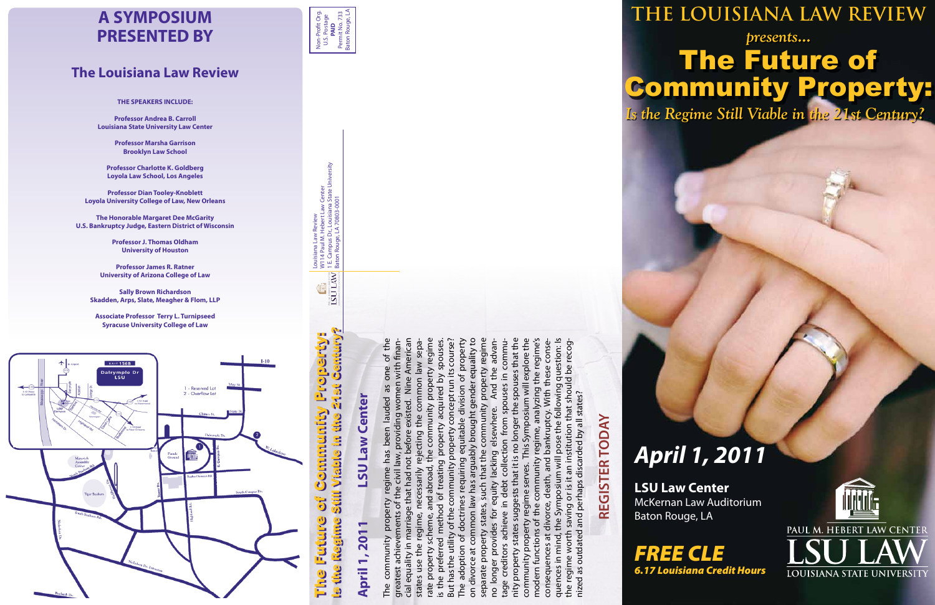# *April 1, 2011*

## *Is the Regime Still Viable in the 21st Century?* The Future of Community Property: **THE LOUISIANA LAW REVIEW** *presents...*



**LSU Law Center** McKernan Law Auditorium



Baton Rouge, LA

Is the Regime Still Viable in the 21st Century? **Journal Evereger** The Future of Community Property: **275t Commandity Original Blable** ö  $\overline{\mathbf{d}}$ **Primer Condicion of the condicion** ũ, **ON** 



Non-Profit Org. U.S. Postage Non-Profit Org.<br>U.S. Postage<br>**PAID**<br>Permit No. 733<br>Baton Rouge, LA Permit No. 733 Baton Rouge, LA

# **REGISTER TODAY REGISTER TODAY**

The community property regime has been lauded as one of the cial equality in marriage that had not before existed. Nine American rate property scheme, and abroad, the community property regime is the preferred method of treating property acquired by spouses. But has the utility of the community property concept run its course? The adoption of doctrines requiring equitable division of property on divorce at common law has arguably brought gender equality to separate property states, such that the community property regime nity property states suggests that it is no longer the spouses that the community property regime serves. This Symposium will explore the modern functions of the community regime, analyzing the regime's quences in mind, the Symposium will pose the following question: Is tage creditors achieve in debt collection from spouses in commuth finangreatest achievements of the civil law, providing women with finanstates use the regime, necessarily rejecting the common law sepano longer provides for equity lacking elsewhere. And the advanlonger the spouses that the regime serves. This Symposium will explore the consequences at divorce, death, and bankruptcy. With these consepose the following question: Is the regime worth saving or is it an institution that should be recogfore existed. Nine American law sepa its course? equitable division of property common law has arguably brought gender equality to the regime's an institution that should be recogspouses community property regime regim the advan these conse  $\mathcal{P}$ one en wit acquired by common conceptrun And as from spouses regime, analyzing With nized as outdated and perhaps discarded by all states? wom discarded by all states? lauded Isewhere. bankruptcy. the property ut has the utility of the community property rejecting suggests that it is no the lacking not | doctrines requiring community treating states, such that quences in mind, the Symposium that had Ì. death equity and perhaps debt saving or is  $\sigma$ ⊒. divorce, the method achieve property functions of states worth : achievem in ma separate property outdated longer provic uences at community adoption of preferred use the creditors property divorce at property cial equality greatest modern regi conseq states the I comm rate The **The** nity the o

Louisiana Law Review

W114 Paul M. Hebert Law Center 1 E. Campus Dr., Louisiana State University

Louisiana Law Review<br>W114 Paul M. Hebert Law Center<br>1 E. Campus Dr., Louisiana State University<br>Baton Rouge, LA 70803-0001

Baton Rouge, LA 70803-0001

**ISU LAW** Ë

# Center **April 1, 2011 LSU Law Center Law UST April 1, 201**

### **A SYMPOSIUM PRESENTED BY**

### **The Louisiana Law Review**

**THE SPEAKERS INCLUDE:** 

**Professor Andrea B. Carroll Louisiana State University Law Center**

> **Professor Marsha Garrison Brooklyn Law School**

**Professor Charlotte K. Goldberg Loyola Law School, Los Angeles**

**Professor Dian Tooley-Knoblett Loyola University College of Law, New Orleans**

**The Honorable Margaret Dee McGarity U.S. Bankruptcy Judge, Eastern District of Wisconsin**

> **Professor J. Thomas Oldham University of Houston**

**Professor James R. Ratner University of Arizona College of Law**

**Sally Brown Richardson Skadden, Arps, Slate, Meagher & Flom, LLP**

**Associate Professor Terry L. Turnipseed Syracuse University College of Law**